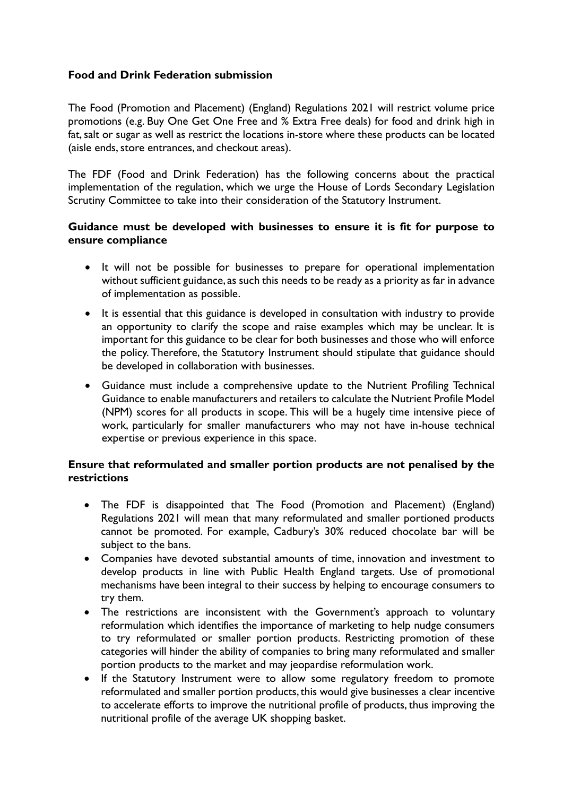# **Food and Drink Federation submission**

The Food (Promotion and Placement) (England) Regulations 2021 will restrict volume price promotions (e.g. Buy One Get One Free and % Extra Free deals) for food and drink high in fat, salt or sugar as well as restrict the locations in-store where these products can be located (aisle ends, store entrances, and checkout areas).

The FDF (Food and Drink Federation) has the following concerns about the practical implementation of the regulation, which we urge the House of Lords Secondary Legislation Scrutiny Committee to take into their consideration of the Statutory Instrument.

### **Guidance must be developed with businesses to ensure it is fit for purpose to ensure compliance**

- It will not be possible for businesses to prepare for operational implementation without sufficient guidance, as such this needs to be ready as a priority as far in advance of implementation as possible.
- It is essential that this guidance is developed in consultation with industry to provide an opportunity to clarify the scope and raise examples which may be unclear. It is important for this guidance to be clear for both businesses and those who will enforce the policy. Therefore, the Statutory Instrument should stipulate that guidance should be developed in collaboration with businesses.
- Guidance must include a comprehensive update to the Nutrient Profiling Technical Guidance to enable manufacturers and retailers to calculate the Nutrient Profile Model (NPM) scores for all products in scope. This will be a hugely time intensive piece of work, particularly for smaller manufacturers who may not have in-house technical expertise or previous experience in this space.

#### **Ensure that reformulated and smaller portion products are not penalised by the restrictions**

- The FDF is disappointed that The Food (Promotion and Placement) (England) Regulations 2021 will mean that many reformulated and smaller portioned products cannot be promoted. For example, Cadbury's 30% reduced chocolate bar will be subject to the bans.
- Companies have devoted substantial amounts of time, innovation and investment to develop products in line with Public Health England targets. Use of promotional mechanisms have been integral to their success by helping to encourage consumers to try them.
- The restrictions are inconsistent with the Government's approach to voluntary reformulation which identifies the importance of marketing to help nudge consumers to try reformulated or smaller portion products. Restricting promotion of these categories will hinder the ability of companies to bring many reformulated and smaller portion products to the market and may jeopardise reformulation work.
- If the Statutory Instrument were to allow some regulatory freedom to promote reformulated and smaller portion products, this would give businesses a clear incentive to accelerate efforts to improve the nutritional profile of products, thus improving the nutritional profile of the average UK shopping basket.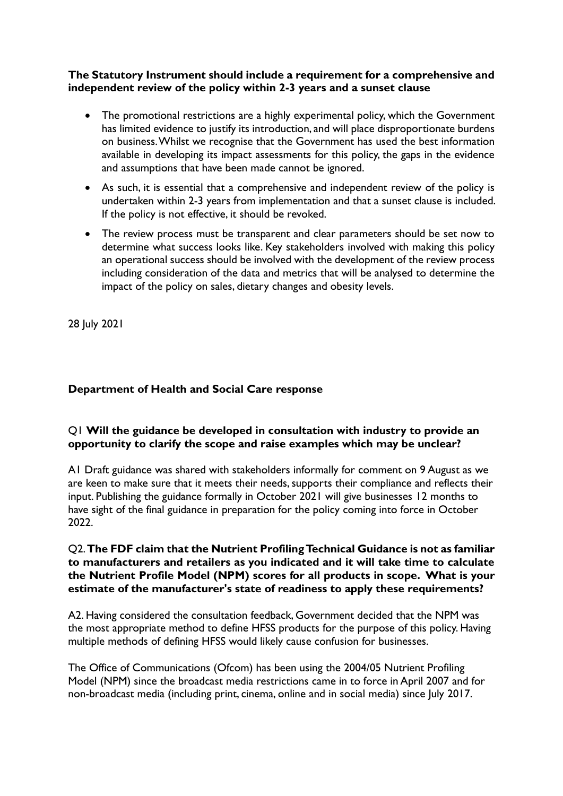# **The Statutory Instrument should include a requirement for a comprehensive and independent review of the policy within 2-3 years and a sunset clause**

- The promotional restrictions are a highly experimental policy, which the Government has limited evidence to justify its introduction, and will place disproportionate burdens on business. Whilst we recognise that the Government has used the best information available in developing its impact assessments for this policy, the gaps in the evidence and assumptions that have been made cannot be ignored.
- As such, it is essential that a comprehensive and independent review of the policy is undertaken within 2-3 years from implementation and that a sunset clause is included. If the policy is not effective, it should be revoked.
- The review process must be transparent and clear parameters should be set now to determine what success looks like. Key stakeholders involved with making this policy an operational success should be involved with the development of the review process including consideration of the data and metrics that will be analysed to determine the impact of the policy on sales, dietary changes and obesity levels.

28 July 2021

# **Department of Health and Social Care response**

# Q1 **Will the guidance be developed in consultation with industry to provide an opportunity to clarify the scope and raise examples which may be unclear?**

A1 Draft guidance was shared with stakeholders informally for comment on 9 August as we are keen to make sure that it meets their needs, supports their compliance and reflects their input. Publishing the guidance formally in October 2021 will give businesses 12 months to have sight of the final guidance in preparation for the policy coming into force in October 2022.

### Q2. **The FDF claim that the Nutrient Profiling Technical Guidance is not as familiar to manufacturers and retailers as you indicated and it will take time to calculate the Nutrient Profile Model (NPM) scores for all products in scope. What is your estimate of the manufacturer's state of readiness to apply these requirements?**

A2. Having considered the consultation feedback, Government decided that the NPM was the most appropriate method to define HFSS products for the purpose of this policy. Having multiple methods of defining HFSS would likely cause confusion for businesses.

The Office of Communications (Ofcom) has been using the 2004/05 Nutrient Profiling Model (NPM) since the broadcast media restrictions came in to force in April 2007 and for non-broadcast media (including print, cinema, online and in social media) since July 2017.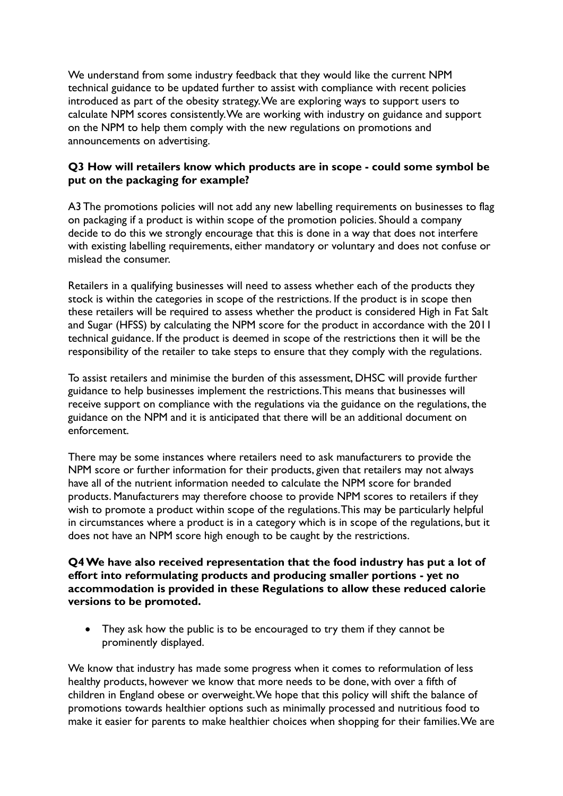We understand from some industry feedback that they would like the current NPM technical guidance to be updated further to assist with compliance with recent policies introduced as part of the obesity strategy. We are exploring ways to support users to calculate NPM scores consistently. We are working with industry on guidance and support on the NPM to help them comply with the new regulations on promotions and announcements on advertising.

# **Q3 How will retailers know which products are in scope - could some symbol be put on the packaging for example?**

A3 The promotions policies will not add any new labelling requirements on businesses to flag on packaging if a product is within scope of the promotion policies. Should a company decide to do this we strongly encourage that this is done in a way that does not interfere with existing labelling requirements, either mandatory or voluntary and does not confuse or mislead the consumer.

Retailers in a qualifying businesses will need to assess whether each of the products they stock is within the categories in scope of the restrictions. If the product is in scope then these retailers will be required to assess whether the product is considered High in Fat Salt and Sugar (HFSS) by calculating the NPM score for the product in accordance with the 2011 technical guidance. If the product is deemed in scope of the restrictions then it will be the responsibility of the retailer to take steps to ensure that they comply with the regulations.

To assist retailers and minimise the burden of this assessment, DHSC will provide further guidance to help businesses implement the restrictions. This means that businesses will receive support on compliance with the regulations via the guidance on the regulations, the guidance on the NPM and it is anticipated that there will be an additional document on enforcement.

There may be some instances where retailers need to ask manufacturers to provide the NPM score or further information for their products, given that retailers may not always have all of the nutrient information needed to calculate the NPM score for branded products. Manufacturers may therefore choose to provide NPM scores to retailers if they wish to promote a product within scope of the regulations. This may be particularly helpful in circumstances where a product is in a category which is in scope of the regulations, but it does not have an NPM score high enough to be caught by the restrictions.

### **Q4 We have also received representation that the food industry has put a lot of effort into reformulating products and producing smaller portions - yet no accommodation is provided in these Regulations to allow these reduced calorie versions to be promoted.**

• They ask how the public is to be encouraged to try them if they cannot be prominently displayed.

We know that industry has made some progress when it comes to reformulation of less healthy products, however we know that more needs to be done, with over a fifth of children in England obese or overweight. We hope that this policy will shift the balance of promotions towards healthier options such as minimally processed and nutritious food to make it easier for parents to make healthier choices when shopping for their families. We are